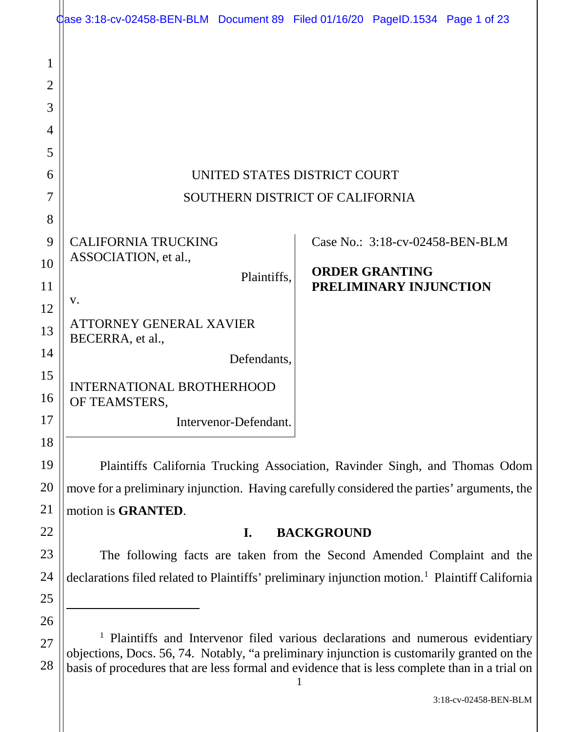|          | dase 3:18-cv-02458-BEN-BLM Document 89 Filed 01/16/20 PageID.1534 Page 1 of 23                                                                                                               |                                                                               |
|----------|----------------------------------------------------------------------------------------------------------------------------------------------------------------------------------------------|-------------------------------------------------------------------------------|
| 1<br>2   |                                                                                                                                                                                              |                                                                               |
| 3        |                                                                                                                                                                                              |                                                                               |
| 4        |                                                                                                                                                                                              |                                                                               |
| 5        |                                                                                                                                                                                              |                                                                               |
| 6        |                                                                                                                                                                                              | UNITED STATES DISTRICT COURT                                                  |
| 7        | SOUTHERN DISTRICT OF CALIFORNIA                                                                                                                                                              |                                                                               |
| 8        |                                                                                                                                                                                              |                                                                               |
| 9        | <b>CALIFORNIA TRUCKING</b>                                                                                                                                                                   | Case No.: 3:18-cv-02458-BEN-BLM                                               |
| 10       | ASSOCIATION, et al.,                                                                                                                                                                         | <b>ORDER GRANTING</b>                                                         |
| 11       | Plaintiffs,                                                                                                                                                                                  | PRELIMINARY INJUNCTION                                                        |
| 12       | V.                                                                                                                                                                                           |                                                                               |
| 13       | ATTORNEY GENERAL XAVIER<br>BECERRA, et al.,                                                                                                                                                  |                                                                               |
| 14       | Defendants.                                                                                                                                                                                  |                                                                               |
| 15       | <b>INTERNATIONAL BROTHERHOOD</b>                                                                                                                                                             |                                                                               |
| 16       | OF TEAMSTERS,                                                                                                                                                                                |                                                                               |
| 17       | Intervenor-Defendant.                                                                                                                                                                        |                                                                               |
| 18       |                                                                                                                                                                                              |                                                                               |
| 19       | Plaintiffs California Trucking Association, Ravinder Singh, and Thomas Odom                                                                                                                  |                                                                               |
| 20       | move for a preliminary injunction. Having carefully considered the parties' arguments, the                                                                                                   |                                                                               |
| 21       | motion is GRANTED.                                                                                                                                                                           |                                                                               |
| 22       | <b>BACKGROUND</b><br>$\mathbf{I}$ .                                                                                                                                                          |                                                                               |
| 23       | The following facts are taken from the Second Amended Complaint and the                                                                                                                      |                                                                               |
| 24       | declarations filed related to Plaintiffs' preliminary injunction motion. <sup>1</sup> Plaintiff California                                                                                   |                                                                               |
| 25       |                                                                                                                                                                                              |                                                                               |
| 26       |                                                                                                                                                                                              | Plaintiffs and Intervenor filed various declarations and numerous evidentiary |
| 27<br>28 | objections, Docs. 56, 74. Notably, "a preliminary injunction is customarily granted on the<br>basis of procedures that are less formal and evidence that is less complete than in a trial on |                                                                               |

1

basis of procedures that are less formal and evidence that is less complete than in a trial on

3:18-cv-02458-BEN-BLM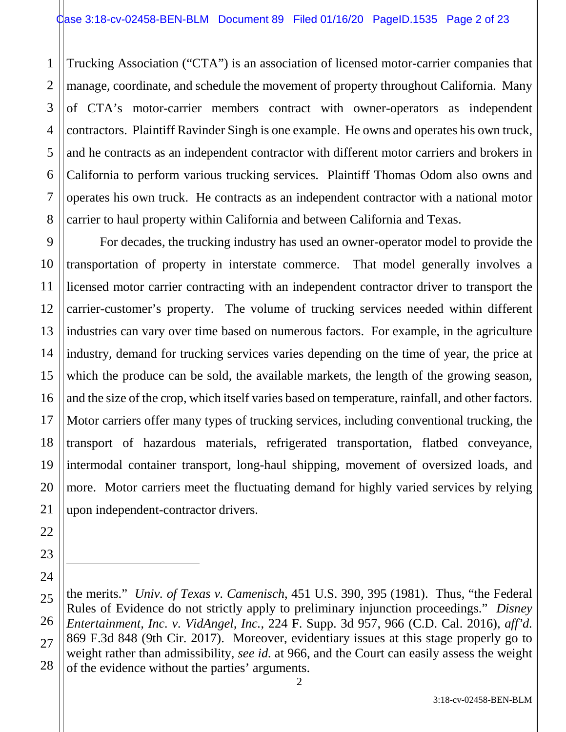1 2 3 4 5 6 7 8 Trucking Association ("CTA") is an association of licensed motor-carrier companies that manage, coordinate, and schedule the movement of property throughout California. Many of CTA's motor-carrier members contract with owner-operators as independent contractors. Plaintiff Ravinder Singh is one example. He owns and operates his own truck, and he contracts as an independent contractor with different motor carriers and brokers in California to perform various trucking services. Plaintiff Thomas Odom also owns and operates his own truck. He contracts as an independent contractor with a national motor carrier to haul property within California and between California and Texas.

9 For decades, the trucking industry has used an owner-operator model to provide the transportation of property in interstate commerce. That model generally involves a licensed motor carrier contracting with an independent contractor driver to transport the carrier-customer's property. The volume of trucking services needed within different industries can vary over time based on numerous factors. For example, in the agriculture industry, demand for trucking services varies depending on the time of year, the price at which the produce can be sold, the available markets, the length of the growing season, and the size of the crop, which itself varies based on temperature, rainfall, and other factors. Motor carriers offer many types of trucking services, including conventional trucking, the transport of hazardous materials, refrigerated transportation, flatbed conveyance, intermodal container transport, long-haul shipping, movement of oversized loads, and more. Motor carriers meet the fluctuating demand for highly varied services by relying upon independent-contractor drivers.

 $\overline{a}$ 

the merits." *Univ. of Texas v. Camenisch*, 451 U.S. 390, 395 (1981). Thus, "the Federal Rules of Evidence do not strictly apply to preliminary injunction proceedings." *Disney Entertainment, Inc. v. VidAngel, Inc.*, 224 F. Supp. 3d 957, 966 (C.D. Cal. 2016), *aff'd.* 869 F.3d 848 (9th Cir. 2017). Moreover, evidentiary issues at this stage properly go to weight rather than admissibility, *see id.* at 966, and the Court can easily assess the weight of the evidence without the parties' arguments.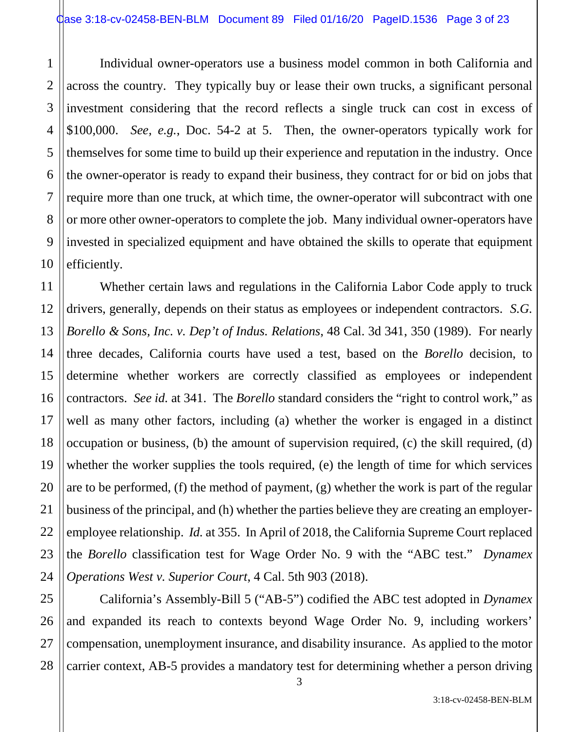1 2 3 4 Individual owner-operators use a business model common in both California and across the country. They typically buy or lease their own trucks, a significant personal investment considering that the record reflects a single truck can cost in excess of \$100,000. *See, e.g.*, Doc. 54-2 at 5. Then, the owner-operators typically work for themselves for some time to build up their experience and reputation in the industry. Once the owner-operator is ready to expand their business, they contract for or bid on jobs that require more than one truck, at which time, the owner-operator will subcontract with one or more other owner-operators to complete the job. Many individual owner-operators have invested in specialized equipment and have obtained the skills to operate that equipment efficiently.

Whether certain laws and regulations in the California Labor Code apply to truck drivers, generally, depends on their status as employees or independent contractors. *S.G. Borello & Sons, Inc. v. Dep't of Indus. Relations*, 48 Cal. 3d 341, 350 (1989). For nearly three decades, California courts have used a test, based on the *Borello* decision, to determine whether workers are correctly classified as employees or independent contractors. *See id.* at 341. The *Borello* standard considers the "right to control work," as well as many other factors, including (a) whether the worker is engaged in a distinct occupation or business, (b) the amount of supervision required, (c) the skill required, (d) whether the worker supplies the tools required, (e) the length of time for which services are to be performed, (f) the method of payment, (g) whether the work is part of the regular business of the principal, and (h) whether the parties believe they are creating an employeremployee relationship. *Id.* at 355. In April of 2018, the California Supreme Court replaced the *Borello* classification test for Wage Order No. 9 with the "ABC test." *Dynamex Operations West v. Superior Court*, 4 Cal. 5th 903 (2018).

California's Assembly-Bill 5 ("AB-5") codified the ABC test adopted in *Dynamex* and expanded its reach to contexts beyond Wage Order No. 9, including workers' compensation, unemployment insurance, and disability insurance. As applied to the motor carrier context, AB-5 provides a mandatory test for determining whether a person driving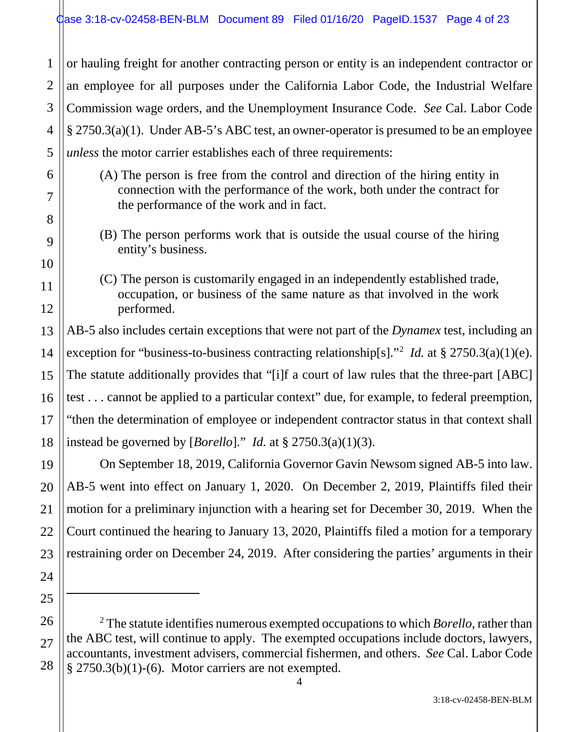2 3 4 5 or hauling freight for another contracting person or entity is an independent contractor or an employee for all purposes under the California Labor Code, the Industrial Welfare Commission wage orders, and the Unemployment Insurance Code. *See* Cal. Labor Code § 2750.3(a)(1). Under AB-5's ABC test, an owner-operator is presumed to be an employee *unless* the motor carrier establishes each of three requirements:

- (A) The person is free from the control and direction of the hiring entity in connection with the performance of the work, both under the contract for the performance of the work and in fact.
- (B) The person performs work that is outside the usual course of the hiring entity's business.
- (C) The person is customarily engaged in an independently established trade, occupation, or business of the same nature as that involved in the work performed.

AB-5 also includes certain exceptions that were not part of the *Dynamex* test, including an exception for "business-to-business contracting relationship[s]."<sup>2</sup> *Id.* at § 2750.3(a)(1)(e). The statute additionally provides that "[i]f a court of law rules that the three-part [ABC] test . . . cannot be applied to a particular context" due, for example, to federal preemption, "then the determination of employee or independent contractor status in that context shall instead be governed by [*Borello*]." *Id.* at  $\S$  2750.3(a)(1)(3).

On September 18, 2019, California Governor Gavin Newsom signed AB-5 into law. AB-5 went into effect on January 1, 2020. On December 2, 2019, Plaintiffs filed their motion for a preliminary injunction with a hearing set for December 30, 2019. When the Court continued the hearing to January 13, 2020, Plaintiffs filed a motion for a temporary restraining order on December 24, 2019. After considering the parties' arguments in their

<sup>2</sup> The statute identifies numerous exempted occupations to which *Borello*, rather than the ABC test, will continue to apply. The exempted occupations include doctors, lawyers, accountants, investment advisers, commercial fishermen, and others. *See* Cal. Labor Code  $§$  2750.3(b)(1)-(6). Motor carriers are not exempted.

1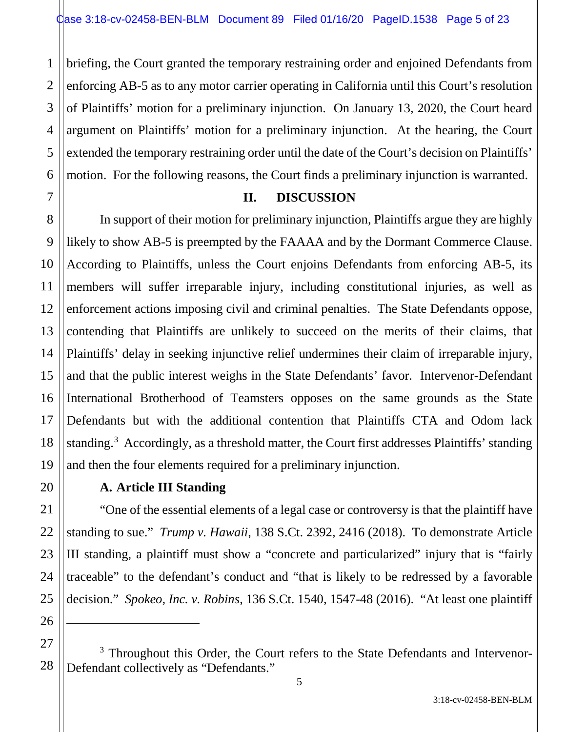1 2 3 4 briefing, the Court granted the temporary restraining order and enjoined Defendants from enforcing AB-5 as to any motor carrier operating in California until this Court's resolution of Plaintiffs' motion for a preliminary injunction. On January 13, 2020, the Court heard argument on Plaintiffs' motion for a preliminary injunction. At the hearing, the Court extended the temporary restraining order until the date of the Court's decision on Plaintiffs' motion. For the following reasons, the Court finds a preliminary injunction is warranted.

## **II. DISCUSSION**

In support of their motion for preliminary injunction, Plaintiffs argue they are highly likely to show AB-5 is preempted by the FAAAA and by the Dormant Commerce Clause. According to Plaintiffs, unless the Court enjoins Defendants from enforcing AB-5, its members will suffer irreparable injury, including constitutional injuries, as well as enforcement actions imposing civil and criminal penalties. The State Defendants oppose, contending that Plaintiffs are unlikely to succeed on the merits of their claims, that Plaintiffs' delay in seeking injunctive relief undermines their claim of irreparable injury, and that the public interest weighs in the State Defendants' favor. Intervenor-Defendant International Brotherhood of Teamsters opposes on the same grounds as the State Defendants but with the additional contention that Plaintiffs CTA and Odom lack standing.<sup>3</sup> Accordingly, as a threshold matter, the Court first addresses Plaintiffs' standing and then the four elements required for a preliminary injunction.

# **A. Article III Standing**

"One of the essential elements of a legal case or controversy is that the plaintiff have standing to sue." *Trump v. Hawaii*, 138 S.Ct. 2392, 2416 (2018). To demonstrate Article III standing, a plaintiff must show a "concrete and particularized" injury that is "fairly traceable" to the defendant's conduct and "that is likely to be redressed by a favorable decision." *Spokeo, Inc. v. Robins*, 136 S.Ct. 1540, 1547-48 (2016). "At least one plaintiff

<sup>28</sup> <sup>3</sup> Throughout this Order, the Court refers to the State Defendants and Intervenor-Defendant collectively as "Defendants."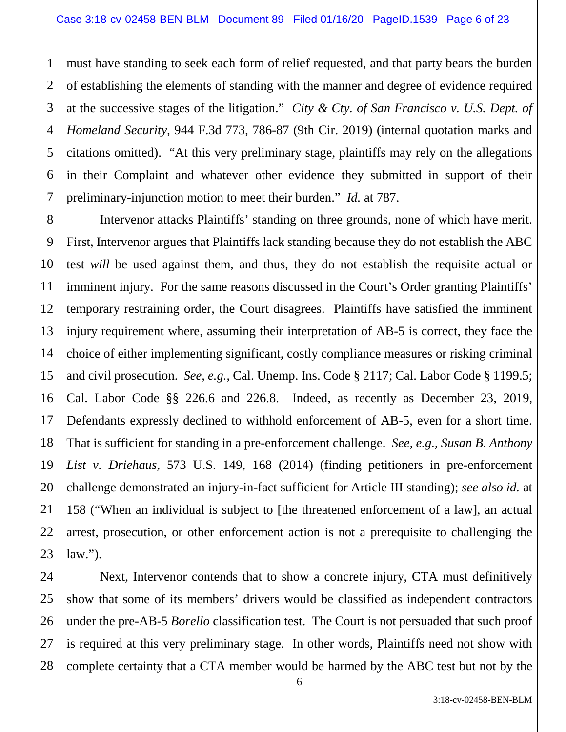1 2 3 4 5 6 7 must have standing to seek each form of relief requested, and that party bears the burden of establishing the elements of standing with the manner and degree of evidence required at the successive stages of the litigation." *City & Cty. of San Francisco v. U.S. Dept. of Homeland Security*, 944 F.3d 773, 786-87 (9th Cir. 2019) (internal quotation marks and citations omitted)."At this very preliminary stage, plaintiffs may rely on the allegations in their Complaint and whatever other evidence they submitted in support of their preliminary-injunction motion to meet their burden." *Id.* at 787.

8 9 10 11 12 13 14 15 16 17 18 19 20 21 22 23 Intervenor attacks Plaintiffs' standing on three grounds, none of which have merit. First, Intervenor argues that Plaintiffs lack standing because they do not establish the ABC test *will* be used against them, and thus, they do not establish the requisite actual or imminent injury. For the same reasons discussed in the Court's Order granting Plaintiffs' temporary restraining order, the Court disagrees. Plaintiffs have satisfied the imminent injury requirement where, assuming their interpretation of AB-5 is correct, they face the choice of either implementing significant, costly compliance measures or risking criminal and civil prosecution. *See, e.g.*, Cal. Unemp. Ins. Code § 2117; Cal. Labor Code § 1199.5; Cal. Labor Code §§ 226.6 and 226.8. Indeed, as recently as December 23, 2019, Defendants expressly declined to withhold enforcement of AB-5, even for a short time. That is sufficient for standing in a pre-enforcement challenge. *See, e.g., Susan B. Anthony List v. Driehaus*, 573 U.S. 149, 168 (2014) (finding petitioners in pre-enforcement challenge demonstrated an injury-in-fact sufficient for Article III standing); *see also id.* at 158 ("When an individual is subject to [the threatened enforcement of a law], an actual arrest, prosecution, or other enforcement action is not a prerequisite to challenging the law.").

24 25 26 27 28 Next, Intervenor contends that to show a concrete injury, CTA must definitively show that some of its members' drivers would be classified as independent contractors under the pre-AB-5 *Borello* classification test. The Court is not persuaded that such proof is required at this very preliminary stage. In other words, Plaintiffs need not show with complete certainty that a CTA member would be harmed by the ABC test but not by the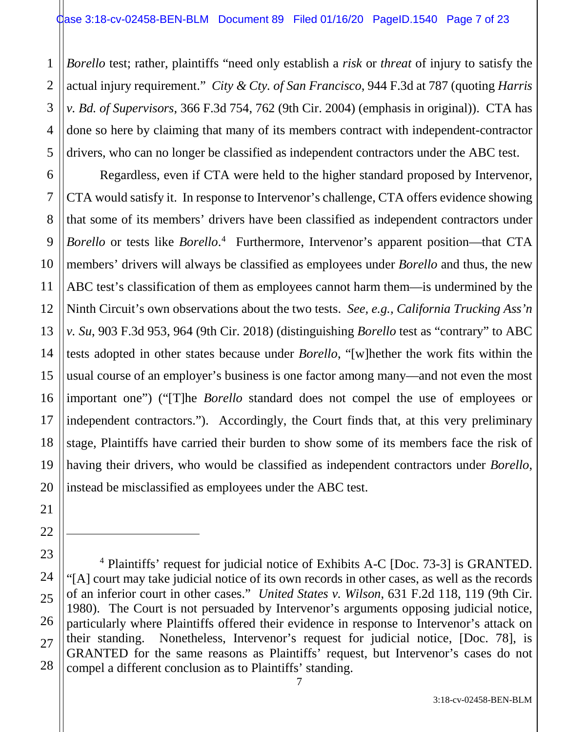2 3 4 5 *Borello* test; rather, plaintiffs "need only establish a *risk* or *threat* of injury to satisfy the actual injury requirement." *City & Cty. of San Francisco*, 944 F.3d at 787 (quoting *Harris v. Bd. of Supervisors*, 366 F.3d 754, 762 (9th Cir. 2004) (emphasis in original)). CTA has done so here by claiming that many of its members contract with independent-contractor drivers, who can no longer be classified as independent contractors under the ABC test.

Regardless, even if CTA were held to the higher standard proposed by Intervenor, CTA would satisfy it. In response to Intervenor's challenge, CTA offers evidence showing that some of its members' drivers have been classified as independent contractors under *Borello* or tests like *Borello*. 4 Furthermore, Intervenor's apparent position—that CTA members' drivers will always be classified as employees under *Borello* and thus, the new ABC test's classification of them as employees cannot harm them—is undermined by the Ninth Circuit's own observations about the two tests. *See, e.g., California Trucking Ass'n v. Su*, 903 F.3d 953, 964 (9th Cir. 2018) (distinguishing *Borello* test as "contrary" to ABC tests adopted in other states because under *Borello*, "[w]hether the work fits within the usual course of an employer's business is one factor among many—and not even the most important one") ("[T]he *Borello* standard does not compel the use of employees or independent contractors."). Accordingly, the Court finds that, at this very preliminary stage, Plaintiffs have carried their burden to show some of its members face the risk of having their drivers, who would be classified as independent contractors under *Borello*, instead be misclassified as employees under the ABC test.

<sup>4</sup> Plaintiffs' request for judicial notice of Exhibits A-C [Doc. 73-3] is GRANTED. "[A] court may take judicial notice of its own records in other cases, as well as the records of an inferior court in other cases." *United States v. Wilson*, 631 F.2d 118, 119 (9th Cir. 1980). The Court is not persuaded by Intervenor's arguments opposing judicial notice, particularly where Plaintiffs offered their evidence in response to Intervenor's attack on their standing. Nonetheless, Intervenor's request for judicial notice, [Doc. 78], is GRANTED for the same reasons as Plaintiffs' request, but Intervenor's cases do not compel a different conclusion as to Plaintiffs' standing.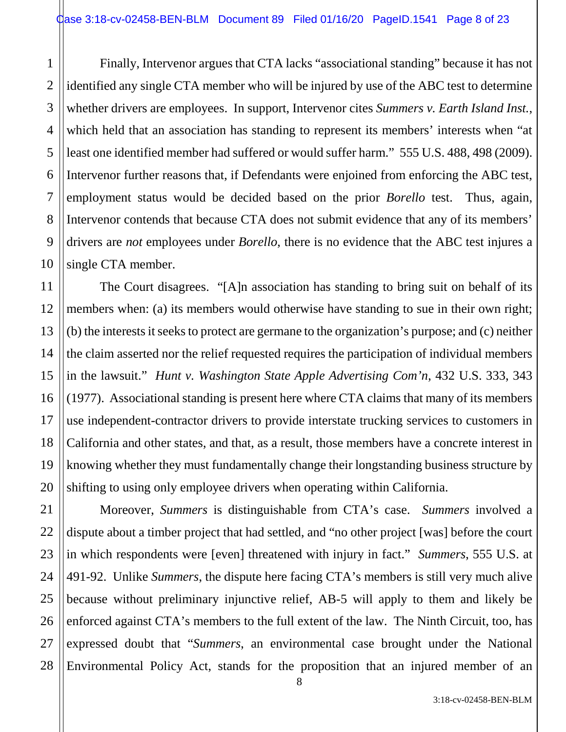1 2 Finally, Intervenor argues that CTA lacks "associational standing" because it has not identified any single CTA member who will be injured by use of the ABC test to determine whether drivers are employees. In support, Intervenor cites *Summers v. Earth Island Inst.*, which held that an association has standing to represent its members' interests when "at least one identified member had suffered or would suffer harm."555 U.S. 488, 498 (2009). Intervenor further reasons that, if Defendants were enjoined from enforcing the ABC test, employment status would be decided based on the prior *Borello* test. Thus, again, Intervenor contends that because CTA does not submit evidence that any of its members' drivers are *not* employees under *Borello*, there is no evidence that the ABC test injures a single CTA member.

The Court disagrees. "[A]n association has standing to bring suit on behalf of its members when: (a) its members would otherwise have standing to sue in their own right; (b) the interests it seeks to protect are germane to the organization's purpose; and (c) neither the claim asserted nor the relief requested requires the participation of individual members in the lawsuit." *Hunt v. Washington State Apple Advertising Com'n*, 432 U.S. 333, 343 (1977). Associational standing is present here where CTA claims that many of its members use independent-contractor drivers to provide interstate trucking services to customers in California and other states, and that, as a result, those members have a concrete interest in knowing whether they must fundamentally change their longstanding business structure by shifting to using only employee drivers when operating within California.

Moreover, *Summers* is distinguishable from CTA's case. *Summers* involved a dispute about a timber project that had settled, and "no other project [was] before the court in which respondents were [even] threatened with injury in fact." *Summers*, 555 U.S. at 491-92. Unlike *Summers*, the dispute here facing CTA's members is still very much alive because without preliminary injunctive relief, AB-5 will apply to them and likely be enforced against CTA's members to the full extent of the law. The Ninth Circuit, too, has expressed doubt that "*Summers*, an environmental case brought under the National Environmental Policy Act, stands for the proposition that an injured member of an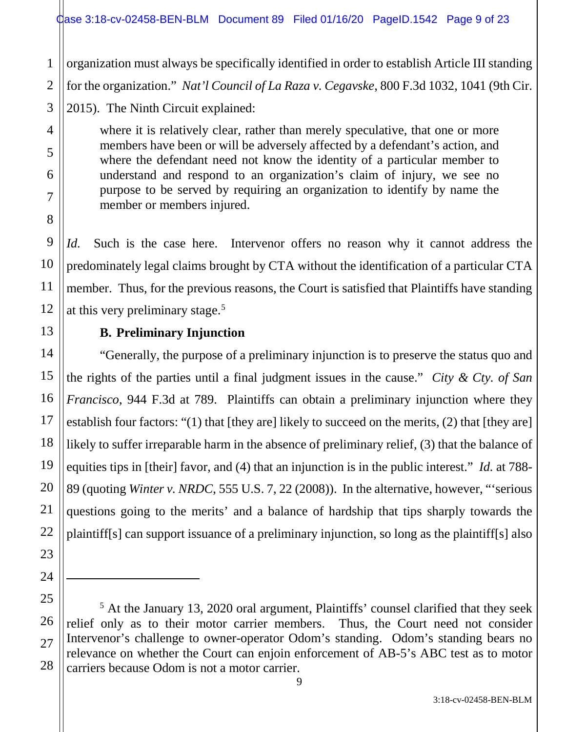organization must always be specifically identified in order to establish Article III standing for the organization." *Nat'l Council of La Raza v. Cegavske*, 800 F.3d 1032, 1041 (9th Cir. 2015). The Ninth Circuit explained:

where it is relatively clear, rather than merely speculative, that one or more members have been or will be adversely affected by a defendant's action, and where the defendant need not know the identity of a particular member to understand and respond to an organization's claim of injury, we see no purpose to be served by requiring an organization to identify by name the member or members injured.

*Id.* Such is the case here. Intervenor offers no reason why it cannot address the predominately legal claims brought by CTA without the identification of a particular CTA member. Thus, for the previous reasons, the Court is satisfied that Plaintiffs have standing at this very preliminary stage.<sup>5</sup>

# **B. Preliminary Injunction**

"Generally, the purpose of a preliminary injunction is to preserve the status quo and the rights of the parties until a final judgment issues in the cause." *City & Cty. of San Francisco*, 944 F.3d at 789. Plaintiffs can obtain a preliminary injunction where they establish four factors: "(1) that [they are] likely to succeed on the merits, (2) that [they are] likely to suffer irreparable harm in the absence of preliminary relief, (3) that the balance of equities tips in [their] favor, and (4) that an injunction is in the public interest." *Id.* at 788- 89 (quoting *Winter v. NRDC*, 555 U.S. 7, 22 (2008)). In the alternative, however, "'serious questions going to the merits' and a balance of hardship that tips sharply towards the plaintiff[s] can support issuance of a preliminary injunction, so long as the plaintiff[s] also

 $\overline{a}$ 

<sup>5</sup> At the January 13, 2020 oral argument, Plaintiffs' counsel clarified that they seek relief only as to their motor carrier members. Thus, the Court need not consider Intervenor's challenge to owner-operator Odom's standing. Odom's standing bears no relevance on whether the Court can enjoin enforcement of AB-5's ABC test as to motor carriers because Odom is not a motor carrier.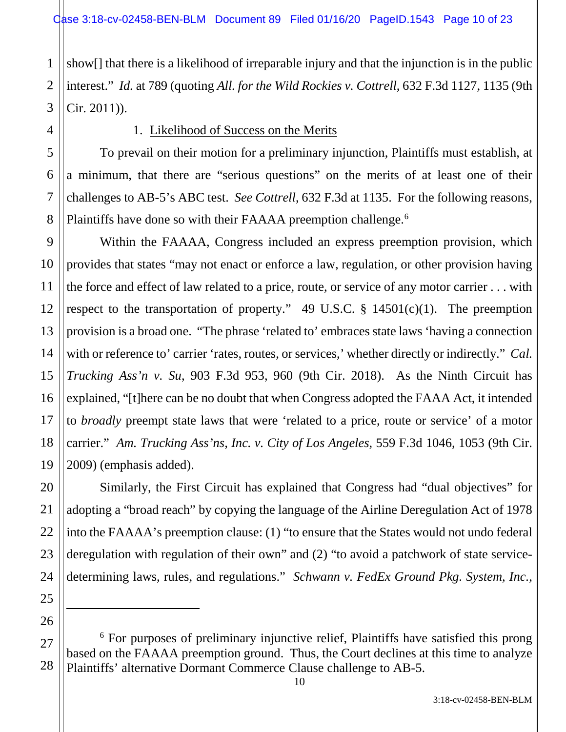1 2 3 show[] that there is a likelihood of irreparable injury and that the injunction is in the public interest." *Id.* at 789 (quoting *All. for the Wild Rockies v. Cottrell*, 632 F.3d 1127, 1135 (9th Cir. 2011)).

4

5

6

7

8

9

10

11

12

13

14

15

16

17

18

19

20

21

### 1. Likelihood of Success on the Merits

To prevail on their motion for a preliminary injunction, Plaintiffs must establish, at a minimum, that there are "serious questions" on the merits of at least one of their challenges to AB-5's ABC test. *See Cottrell*, 632 F.3d at 1135. For the following reasons, Plaintiffs have done so with their FAAAA preemption challenge.<sup>6</sup>

Within the FAAAA, Congress included an express preemption provision, which provides that states "may not enact or enforce a law, regulation, or other provision having the force and effect of law related to a price, route, or service of any motor carrier . . . with respect to the transportation of property." 49 U.S.C.  $\S$  14501(c)(1). The preemption provision is a broad one. "The phrase 'related to' embraces state laws 'having a connection with or reference to' carrier 'rates, routes, or services,' whether directly or indirectly." *Cal. Trucking Ass'n v. Su*, 903 F.3d 953, 960 (9th Cir. 2018). As the Ninth Circuit has explained, "[t]here can be no doubt that when Congress adopted the FAAA Act, it intended to *broadly* preempt state laws that were 'related to a price, route or service' of a motor carrier." *Am. Trucking Ass'ns, Inc. v. City of Los Angeles*, 559 F.3d 1046, 1053 (9th Cir. 2009) (emphasis added).

Similarly, the First Circuit has explained that Congress had "dual objectives" for adopting a "broad reach" by copying the language of the Airline Deregulation Act of 1978 into the FAAAA's preemption clause: (1) "to ensure that the States would not undo federal deregulation with regulation of their own" and (2) "to avoid a patchwork of state servicedetermining laws, rules, and regulations." *Schwann v. FedEx Ground Pkg. System, Inc.*,

 $\overline{a}$ 

<sup>&</sup>lt;sup>6</sup> For purposes of preliminary injunctive relief, Plaintiffs have satisfied this prong based on the FAAAA preemption ground. Thus, the Court declines at this time to analyze Plaintiffs' alternative Dormant Commerce Clause challenge to AB-5.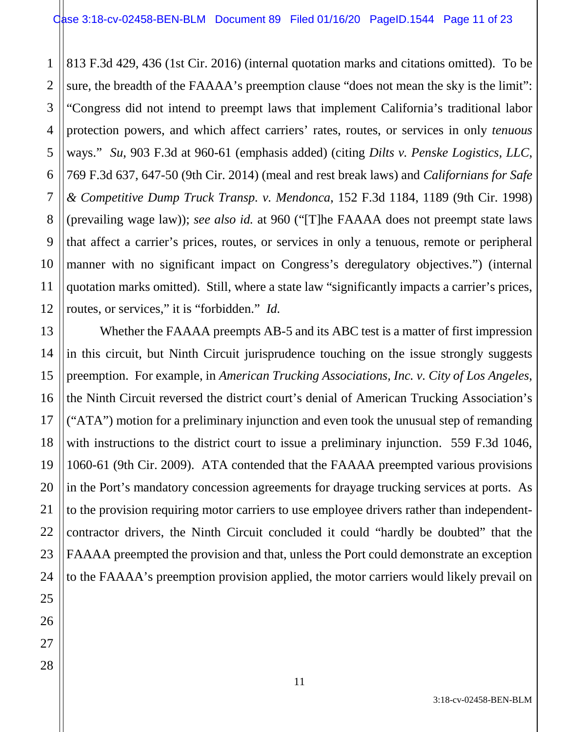2 3 4 813 F.3d 429, 436 (1st Cir. 2016) (internal quotation marks and citations omitted). To be sure, the breadth of the FAAAA's preemption clause "does not mean the sky is the limit": "Congress did not intend to preempt laws that implement California's traditional labor protection powers, and which affect carriers' rates, routes, or services in only *tenuous*  ways." *Su*, 903 F.3d at 960-61 (emphasis added) (citing *Dilts v. Penske Logistics, LLC*, 769 F.3d 637, 647-50 (9th Cir. 2014) (meal and rest break laws) and *Californians for Safe & Competitive Dump Truck Transp. v. Mendonca*, 152 F.3d 1184, 1189 (9th Cir. 1998) (prevailing wage law)); *see also id.* at 960 ("[T]he FAAAA does not preempt state laws that affect a carrier's prices, routes, or services in only a tenuous, remote or peripheral manner with no significant impact on Congress's deregulatory objectives.") (internal quotation marks omitted). Still, where a state law "significantly impacts a carrier's prices, routes, or services," it is "forbidden." *Id.*

Whether the FAAAA preempts AB-5 and its ABC test is a matter of first impression in this circuit, but Ninth Circuit jurisprudence touching on the issue strongly suggests preemption. For example, in *American Trucking Associations, Inc. v. City of Los Angeles*, the Ninth Circuit reversed the district court's denial of American Trucking Association's ("ATA") motion for a preliminary injunction and even took the unusual step of remanding with instructions to the district court to issue a preliminary injunction. 559 F.3d 1046, 1060-61 (9th Cir. 2009). ATA contended that the FAAAA preempted various provisions in the Port's mandatory concession agreements for drayage trucking services at ports. As to the provision requiring motor carriers to use employee drivers rather than independentcontractor drivers, the Ninth Circuit concluded it could "hardly be doubted" that the FAAAA preempted the provision and that, unless the Port could demonstrate an exception to the FAAAA's preemption provision applied, the motor carriers would likely prevail on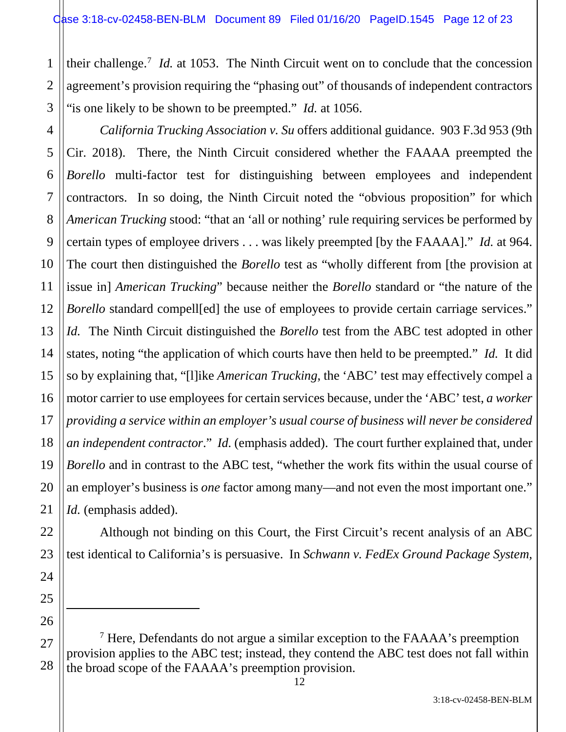their challenge.<sup>7</sup> *Id.* at 1053. The Ninth Circuit went on to conclude that the concession agreement's provision requiring the "phasing out" of thousands of independent contractors "is one likely to be shown to be preempted." *Id.* at 1056.

4 6 8 9 10 12 13 14 15 16 18 19 20 *California Trucking Association v. Su* offers additional guidance. 903 F.3d 953 (9th Cir. 2018). There, the Ninth Circuit considered whether the FAAAA preempted the *Borello* multi-factor test for distinguishing between employees and independent contractors. In so doing, the Ninth Circuit noted the "obvious proposition" for which *American Trucking* stood: "that an 'all or nothing' rule requiring services be performed by certain types of employee drivers . . . was likely preempted [by the FAAAA]." *Id.* at 964. The court then distinguished the *Borello* test as "wholly different from [the provision at issue in] *American Trucking*" because neither the *Borello* standard or "the nature of the *Borello* standard compell[ed] the use of employees to provide certain carriage services." *Id.* The Ninth Circuit distinguished the *Borello* test from the ABC test adopted in other states, noting "the application of which courts have then held to be preempted." *Id.* It did so by explaining that, "[l]ike *American Trucking*, the 'ABC' test may effectively compel a motor carrier to use employees for certain services because, under the 'ABC' test, *a worker providing a service within an employer's usual course of business will never be considered an independent contractor*." *Id.* (emphasis added). The court further explained that, under *Borello* and in contrast to the ABC test, "whether the work fits within the usual course of an employer's business is *one* factor among many—and not even the most important one." *Id.* (emphasis added).

Although not binding on this Court, the First Circuit's recent analysis of an ABC test identical to California's is persuasive. In *Schwann v. FedEx Ground Package System,* 

 $\overline{a}$ 

1

2

3

5

7

11

17

21

22

<sup>28</sup>  $<sup>7</sup>$  Here, Defendants do not argue a similar exception to the FAAAA's preemption</sup> provision applies to the ABC test; instead, they contend the ABC test does not fall within the broad scope of the FAAAA's preemption provision.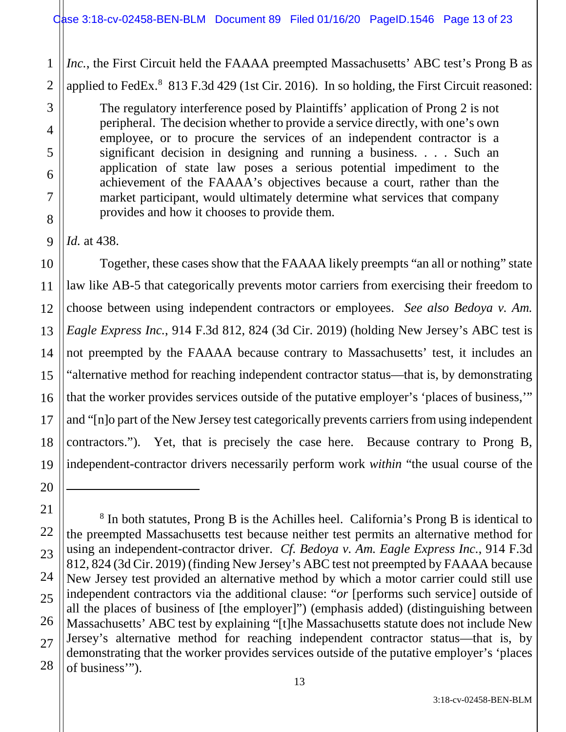*Inc.*, the First Circuit held the FAAAA preempted Massachusetts' ABC test's Prong B as applied to FedEx.<sup>8</sup> 813 F.3d 429 (1st Cir. 2016). In so holding, the First Circuit reasoned:

The regulatory interference posed by Plaintiffs' application of Prong 2 is not peripheral. The decision whether to provide a service directly, with one's own employee, or to procure the services of an independent contractor is a significant decision in designing and running a business. . . . Such an application of state law poses a serious potential impediment to the achievement of the FAAAA's objectives because a court, rather than the market participant, would ultimately determine what services that company provides and how it chooses to provide them.

*Id.* at 438.

Together, these cases show that the FAAAA likely preempts "an all or nothing" state law like AB-5 that categorically prevents motor carriers from exercising their freedom to choose between using independent contractors or employees. *See also Bedoya v. Am. Eagle Express Inc.*, 914 F.3d 812, 824 (3d Cir. 2019) (holding New Jersey's ABC test is not preempted by the FAAAA because contrary to Massachusetts' test, it includes an "alternative method for reaching independent contractor status—that is, by demonstrating that the worker provides services outside of the putative employer's 'places of business,'" and "[n]o part of the New Jersey test categorically prevents carriers from using independent contractors."). Yet, that is precisely the case here. Because contrary to Prong B, independent-contractor drivers necessarily perform work *within* "the usual course of the

<sup>8</sup> In both statutes, Prong B is the Achilles heel. California's Prong B is identical to the preempted Massachusetts test because neither test permits an alternative method for using an independent-contractor driver. *Cf. Bedoya v. Am. Eagle Express Inc.*, 914 F.3d 812, 824 (3d Cir. 2019) (finding New Jersey's ABC test not preempted by FAAAA because New Jersey test provided an alternative method by which a motor carrier could still use independent contractors via the additional clause: "*or* [performs such service] outside of all the places of business of [the employer]") (emphasis added) (distinguishing between Massachusetts' ABC test by explaining "[t]he Massachusetts statute does not include New Jersey's alternative method for reaching independent contractor status—that is, by demonstrating that the worker provides services outside of the putative employer's 'places of business'").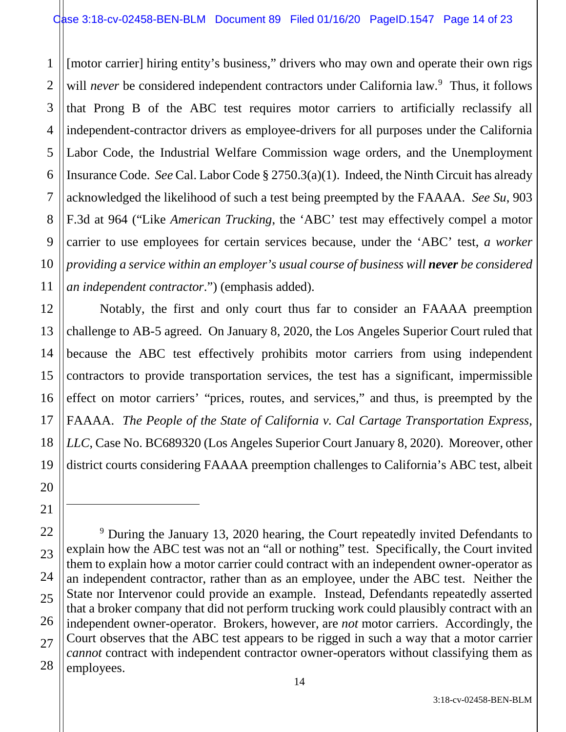1 2 [motor carrier] hiring entity's business," drivers who may own and operate their own rigs will *never* be considered independent contractors under California law.<sup>9</sup> Thus, it follows that Prong B of the ABC test requires motor carriers to artificially reclassify all independent-contractor drivers as employee-drivers for all purposes under the California Labor Code, the Industrial Welfare Commission wage orders, and the Unemployment Insurance Code. *See* Cal. Labor Code § 2750.3(a)(1). Indeed, the Ninth Circuit has already acknowledged the likelihood of such a test being preempted by the FAAAA. *See Su*, 903 F.3d at 964 ("Like *American Trucking*, the 'ABC' test may effectively compel a motor carrier to use employees for certain services because, under the 'ABC' test, *a worker providing a service within an employer's usual course of business will never be considered an independent contractor*.") (emphasis added).

Notably, the first and only court thus far to consider an FAAAA preemption challenge to AB-5 agreed. On January 8, 2020, the Los Angeles Superior Court ruled that because the ABC test effectively prohibits motor carriers from using independent contractors to provide transportation services, the test has a significant, impermissible effect on motor carriers' "prices, routes, and services," and thus, is preempted by the FAAAA. *The People of the State of California v. Cal Cartage Transportation Express, LLC*, Case No. BC689320 (Los Angeles Superior Court January 8, 2020). Moreover, other district courts considering FAAAA preemption challenges to California's ABC test, albeit

<sup>&</sup>lt;sup>9</sup> During the January 13, 2020 hearing, the Court repeatedly invited Defendants to explain how the ABC test was not an "all or nothing" test. Specifically, the Court invited them to explain how a motor carrier could contract with an independent owner-operator as an independent contractor, rather than as an employee, under the ABC test. Neither the State nor Intervenor could provide an example. Instead, Defendants repeatedly asserted that a broker company that did not perform trucking work could plausibly contract with an independent owner-operator. Brokers, however, are *not* motor carriers. Accordingly, the Court observes that the ABC test appears to be rigged in such a way that a motor carrier *cannot* contract with independent contractor owner-operators without classifying them as employees.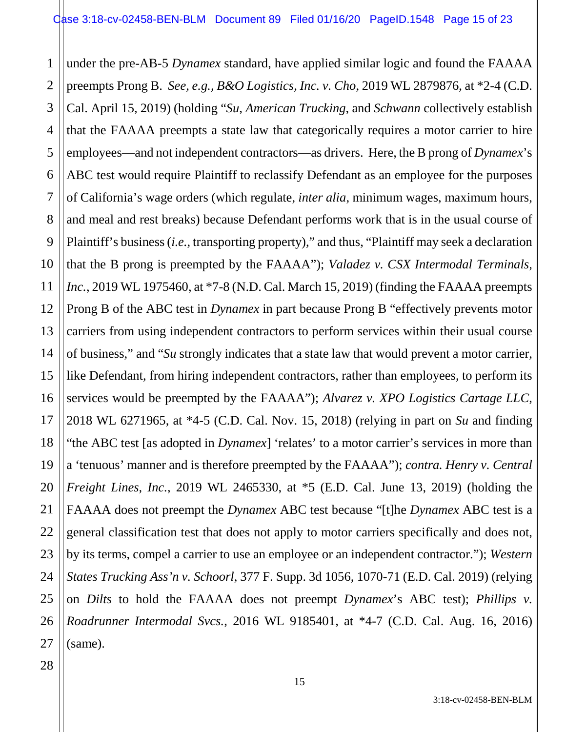1 2 3 4 5 6 7 8 9 10 11 12 13 14 15 16 17 18 19 20 21 22 23 24 25 26 27 under the pre-AB-5 *Dynamex* standard, have applied similar logic and found the FAAAA preempts Prong B. *See, e.g., B&O Logistics, Inc. v. Cho*, 2019 WL 2879876, at \*2-4 (C.D. Cal. April 15, 2019) (holding "*Su*, *American Trucking*, and *Schwann* collectively establish that the FAAAA preempts a state law that categorically requires a motor carrier to hire employees—and not independent contractors—as drivers. Here, the B prong of *Dynamex*'s ABC test would require Plaintiff to reclassify Defendant as an employee for the purposes of California's wage orders (which regulate, *inter alia*, minimum wages, maximum hours, and meal and rest breaks) because Defendant performs work that is in the usual course of Plaintiff's business (*i.e.*, transporting property)," and thus, "Plaintiff may seek a declaration that the B prong is preempted by the FAAAA"); *Valadez v. CSX Intermodal Terminals, Inc.*, 2019 WL 1975460, at \*7-8 (N.D. Cal. March 15, 2019) (finding the FAAAA preempts Prong B of the ABC test in *Dynamex* in part because Prong B "effectively prevents motor carriers from using independent contractors to perform services within their usual course of business," and "*Su* strongly indicates that a state law that would prevent a motor carrier, like Defendant, from hiring independent contractors, rather than employees, to perform its services would be preempted by the FAAAA"); *Alvarez v. XPO Logistics Cartage LLC*, 2018 WL 6271965, at \*4-5 (C.D. Cal. Nov. 15, 2018) (relying in part on *Su* and finding "the ABC test [as adopted in *Dynamex*] 'relates' to a motor carrier's services in more than a 'tenuous' manner and is therefore preempted by the FAAAA"); *contra. Henry v. Central Freight Lines, Inc.*, 2019 WL 2465330, at \*5 (E.D. Cal. June 13, 2019) (holding the FAAAA does not preempt the *Dynamex* ABC test because "[t]he *Dynamex* ABC test is a general classification test that does not apply to motor carriers specifically and does not, by its terms, compel a carrier to use an employee or an independent contractor."); *Western States Trucking Ass'n v. Schoorl*, 377 F. Supp. 3d 1056, 1070-71 (E.D. Cal. 2019) (relying on *Dilts* to hold the FAAAA does not preempt *Dynamex*'s ABC test); *Phillips v. Roadrunner Intermodal Svcs.*, 2016 WL 9185401, at \*4-7 (C.D. Cal. Aug. 16, 2016) (same).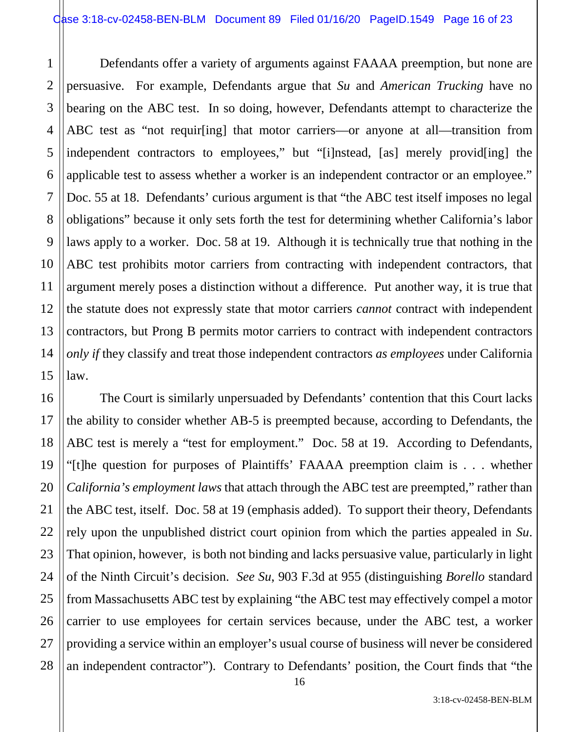1 2 3 4 5 Defendants offer a variety of arguments against FAAAA preemption, but none are persuasive. For example, Defendants argue that *Su* and *American Trucking* have no bearing on the ABC test. In so doing, however, Defendants attempt to characterize the ABC test as "not requir[ing] that motor carriers—or anyone at all—transition from independent contractors to employees," but "[i]nstead, [as] merely provid[ing] the applicable test to assess whether a worker is an independent contractor or an employee." Doc. 55 at 18. Defendants' curious argument is that "the ABC test itself imposes no legal obligations" because it only sets forth the test for determining whether California's labor laws apply to a worker. Doc. 58 at 19. Although it is technically true that nothing in the ABC test prohibits motor carriers from contracting with independent contractors, that argument merely poses a distinction without a difference. Put another way, it is true that the statute does not expressly state that motor carriers *cannot* contract with independent contractors, but Prong B permits motor carriers to contract with independent contractors *only if* they classify and treat those independent contractors *as employees* under California law.

The Court is similarly unpersuaded by Defendants' contention that this Court lacks the ability to consider whether AB-5 is preempted because, according to Defendants, the ABC test is merely a "test for employment." Doc. 58 at 19. According to Defendants, "[t]he question for purposes of Plaintiffs' FAAAA preemption claim is . . . whether *California's employment laws* that attach through the ABC test are preempted," rather than the ABC test, itself. Doc. 58 at 19 (emphasis added). To support their theory, Defendants rely upon the unpublished district court opinion from which the parties appealed in *Su*. That opinion, however, is both not binding and lacks persuasive value, particularly in light of the Ninth Circuit's decision. *See Su*, 903 F.3d at 955 (distinguishing *Borello* standard from Massachusetts ABC test by explaining "the ABC test may effectively compel a motor carrier to use employees for certain services because, under the ABC test, a worker providing a service within an employer's usual course of business will never be considered an independent contractor"). Contrary to Defendants' position, the Court finds that "the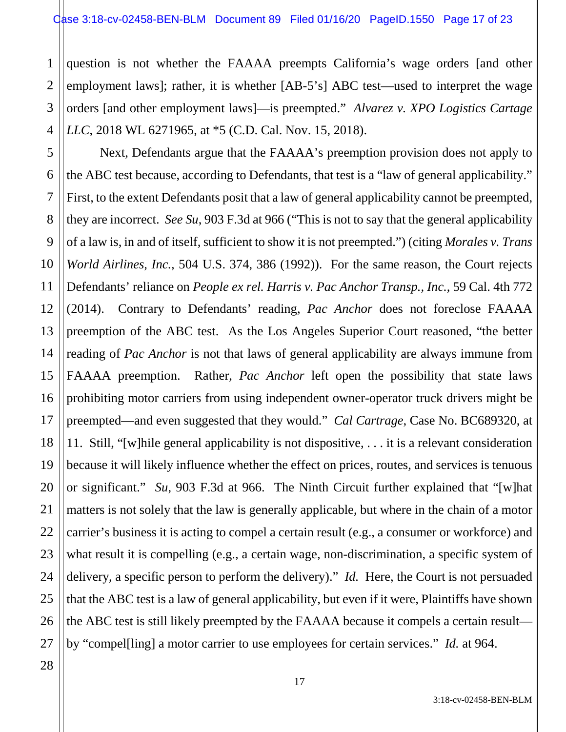1 2 3 4 question is not whether the FAAAA preempts California's wage orders [and other employment laws]; rather, it is whether [AB-5's] ABC test—used to interpret the wage orders [and other employment laws]—is preempted." *Alvarez v. XPO Logistics Cartage LLC*, 2018 WL 6271965, at \*5 (C.D. Cal. Nov. 15, 2018).

5 6 7 8 9 10 11 12 13 14 15 16 17 18 19 20 21 22 23 24 25 26 Next, Defendants argue that the FAAAA's preemption provision does not apply to the ABC test because, according to Defendants, that test is a "law of general applicability." First, to the extent Defendants posit that a law of general applicability cannot be preempted, they are incorrect. *See Su*, 903 F.3d at 966 ("This is not to say that the general applicability of a law is, in and of itself, sufficient to show it is not preempted.") (citing *Morales v. Trans World Airlines, Inc.*, 504 U.S. 374, 386 (1992)). For the same reason, the Court rejects Defendants' reliance on *People ex rel. Harris v. Pac Anchor Transp., Inc.*, 59 Cal. 4th 772 (2014). Contrary to Defendants' reading, *Pac Anchor* does not foreclose FAAAA preemption of the ABC test. As the Los Angeles Superior Court reasoned, "the better reading of *Pac Anchor* is not that laws of general applicability are always immune from FAAAA preemption. Rather, *Pac Anchor* left open the possibility that state laws prohibiting motor carriers from using independent owner-operator truck drivers might be preempted—and even suggested that they would." *Cal Cartrage*, Case No. BC689320, at 11. Still, "[w]hile general applicability is not dispositive, . . . it is a relevant consideration because it will likely influence whether the effect on prices, routes, and services is tenuous or significant." *Su*, 903 F.3d at 966. The Ninth Circuit further explained that "[w]hat matters is not solely that the law is generally applicable, but where in the chain of a motor carrier's business it is acting to compel a certain result (e.g., a consumer or workforce) and what result it is compelling (e.g., a certain wage, non-discrimination, a specific system of delivery, a specific person to perform the delivery)." *Id.* Here, the Court is not persuaded that the ABC test is a law of general applicability, but even if it were, Plaintiffs have shown the ABC test is still likely preempted by the FAAAA because it compels a certain result by "compel[ling] a motor carrier to use employees for certain services." *Id.* at 964.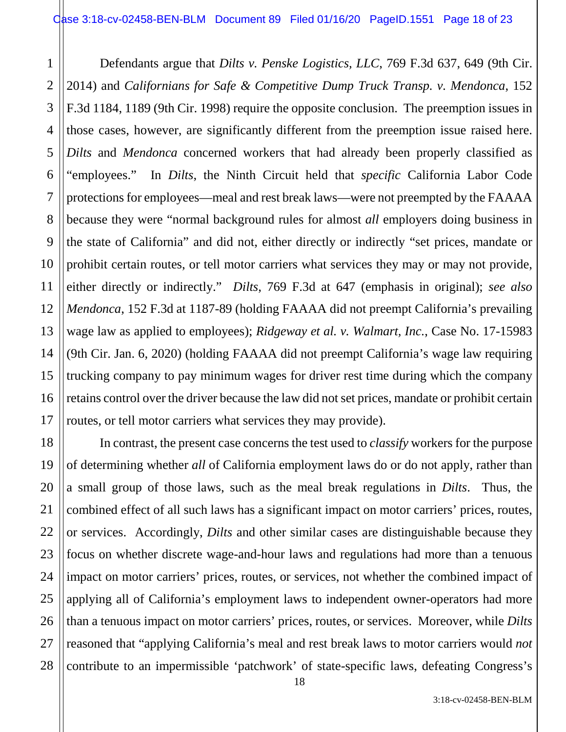1

2

7

11

3 4 5 6 8 9 10 12 13 14 15 16 17 Defendants argue that *Dilts v. Penske Logistics, LLC*, 769 F.3d 637, 649 (9th Cir. 2014) and *Californians for Safe & Competitive Dump Truck Transp. v. Mendonca*, 152 F.3d 1184, 1189 (9th Cir. 1998) require the opposite conclusion. The preemption issues in those cases, however, are significantly different from the preemption issue raised here. *Dilts* and *Mendonca* concerned workers that had already been properly classified as "employees." In *Dilts*, the Ninth Circuit held that *specific* California Labor Code protections for employees—meal and rest break laws—were not preempted by the FAAAA because they were "normal background rules for almost *all* employers doing business in the state of California" and did not, either directly or indirectly "set prices, mandate or prohibit certain routes, or tell motor carriers what services they may or may not provide, either directly or indirectly." *Dilts*, 769 F.3d at 647 (emphasis in original); *see also Mendonca*, 152 F.3d at 1187-89 (holding FAAAA did not preempt California's prevailing wage law as applied to employees); *Ridgeway et al. v. Walmart, Inc.*, Case No. 17-15983 (9th Cir. Jan. 6, 2020) (holding FAAAA did not preempt California's wage law requiring trucking company to pay minimum wages for driver rest time during which the company retains control over the driver because the law did not set prices, mandate or prohibit certain routes, or tell motor carriers what services they may provide).

18 19 20 21 22 23 24 25 26 27 28 In contrast, the present case concerns the test used to *classify* workers for the purpose of determining whether *all* of California employment laws do or do not apply, rather than a small group of those laws, such as the meal break regulations in *Dilts*. Thus, the combined effect of all such laws has a significant impact on motor carriers' prices, routes, or services. Accordingly, *Dilts* and other similar cases are distinguishable because they focus on whether discrete wage-and-hour laws and regulations had more than a tenuous impact on motor carriers' prices, routes, or services, not whether the combined impact of applying all of California's employment laws to independent owner-operators had more than a tenuous impact on motor carriers' prices, routes, or services. Moreover, while *Dilts* reasoned that "applying California's meal and rest break laws to motor carriers would *not* contribute to an impermissible 'patchwork' of state-specific laws, defeating Congress's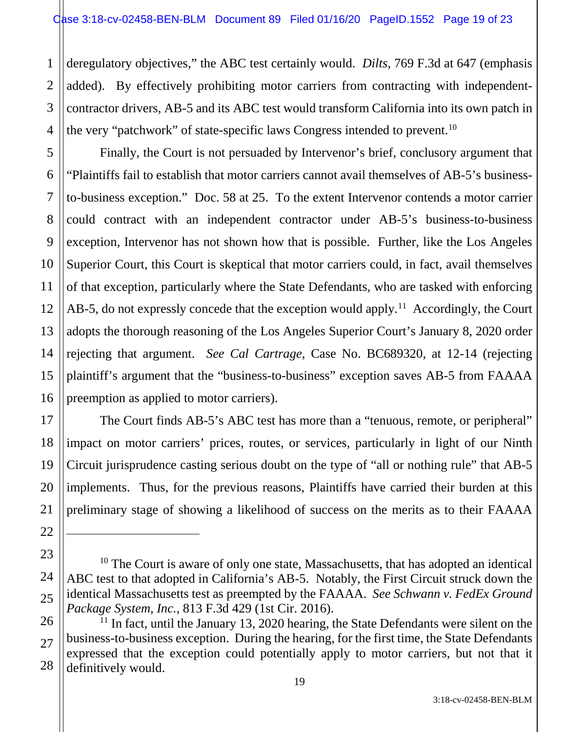1 2 3 deregulatory objectives," the ABC test certainly would. *Dilts*, 769 F.3d at 647 (emphasis added). By effectively prohibiting motor carriers from contracting with independentcontractor drivers, AB-5 and its ABC test would transform California into its own patch in the very "patchwork" of state-specific laws Congress intended to prevent.<sup>10</sup>

Finally, the Court is not persuaded by Intervenor's brief, conclusory argument that "Plaintiffs fail to establish that motor carriers cannot avail themselves of AB-5's businessto-business exception." Doc. 58 at 25. To the extent Intervenor contends a motor carrier could contract with an independent contractor under AB-5's business-to-business exception, Intervenor has not shown how that is possible. Further, like the Los Angeles Superior Court, this Court is skeptical that motor carriers could, in fact, avail themselves of that exception, particularly where the State Defendants, who are tasked with enforcing AB-5, do not expressly concede that the exception would apply.<sup>11</sup> Accordingly, the Court adopts the thorough reasoning of the Los Angeles Superior Court's January 8, 2020 order rejecting that argument. *See Cal Cartrage*, Case No. BC689320, at 12-14 (rejecting plaintiff's argument that the "business-to-business" exception saves AB-5 from FAAAA preemption as applied to motor carriers).

The Court finds AB-5's ABC test has more than a "tenuous, remote, or peripheral" impact on motor carriers' prices, routes, or services, particularly in light of our Ninth Circuit jurisprudence casting serious doubt on the type of "all or nothing rule" that AB-5 implements. Thus, for the previous reasons, Plaintiffs have carried their burden at this preliminary stage of showing a likelihood of success on the merits as to their FAAAA

<sup>10</sup> The Court is aware of only one state, Massachusetts, that has adopted an identical ABC test to that adopted in California's AB-5. Notably, the First Circuit struck down the identical Massachusetts test as preempted by the FAAAA. *See Schwann v. FedEx Ground Package System, Inc.*, 813 F.3d 429 (1st Cir. 2016).

 $11$  In fact, until the January 13, 2020 hearing, the State Defendants were silent on the business-to-business exception. During the hearing, for the first time, the State Defendants expressed that the exception could potentially apply to motor carriers, but not that it definitively would.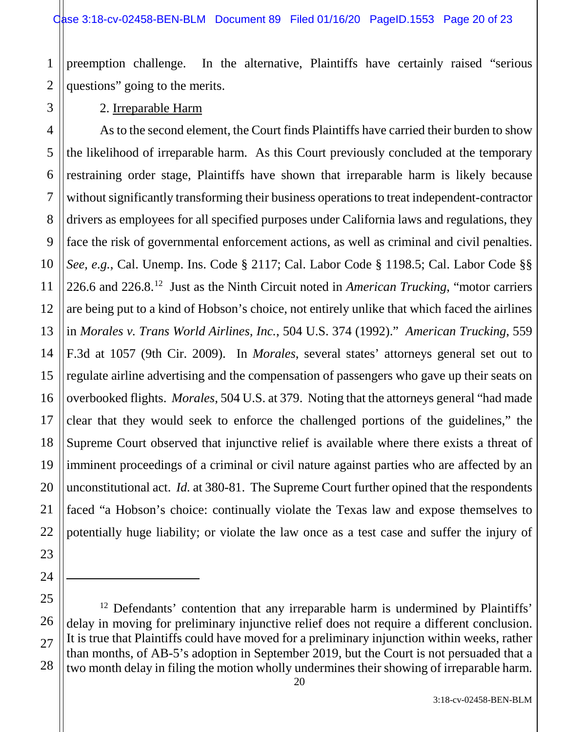1 preemption challenge. In the alternative, Plaintiffs have certainly raised "serious questions" going to the merits.

# 2 3 4 5 6 7 8 9 10 11 12 13 14 15 16 17 18 19 20 21 22 23 24 25 26 27

 $\overline{a}$ 

2. Irreparable Harm

As to the second element, the Court finds Plaintiffs have carried their burden to show the likelihood of irreparable harm. As this Court previously concluded at the temporary restraining order stage, Plaintiffs have shown that irreparable harm is likely because without significantly transforming their business operations to treat independent-contractor drivers as employees for all specified purposes under California laws and regulations, they face the risk of governmental enforcement actions, as well as criminal and civil penalties. *See, e.g.*, Cal. Unemp. Ins. Code § 2117; Cal. Labor Code § 1198.5; Cal. Labor Code §§ 226.6 and 226.8.12 Just as the Ninth Circuit noted in *American Trucking*, "motor carriers are being put to a kind of Hobson's choice, not entirely unlike that which faced the airlines in *Morales v. Trans World Airlines, Inc.*, 504 U.S. 374 (1992)." *American Trucking*, 559 F.3d at 1057 (9th Cir. 2009). In *Morales*, several states' attorneys general set out to regulate airline advertising and the compensation of passengers who gave up their seats on overbooked flights. *Morales*, 504 U.S. at 379. Noting that the attorneys general "had made clear that they would seek to enforce the challenged portions of the guidelines," the Supreme Court observed that injunctive relief is available where there exists a threat of imminent proceedings of a criminal or civil nature against parties who are affected by an unconstitutional act. *Id.* at 380-81. The Supreme Court further opined that the respondents faced "a Hobson's choice: continually violate the Texas law and expose themselves to potentially huge liability; or violate the law once as a test case and suffer the injury of

28 <sup>12</sup> Defendants' contention that any irreparable harm is undermined by Plaintiffs' delay in moving for preliminary injunctive relief does not require a different conclusion. It is true that Plaintiffs could have moved for a preliminary injunction within weeks, rather than months, of AB-5's adoption in September 2019, but the Court is not persuaded that a two month delay in filing the motion wholly undermines their showing of irreparable harm.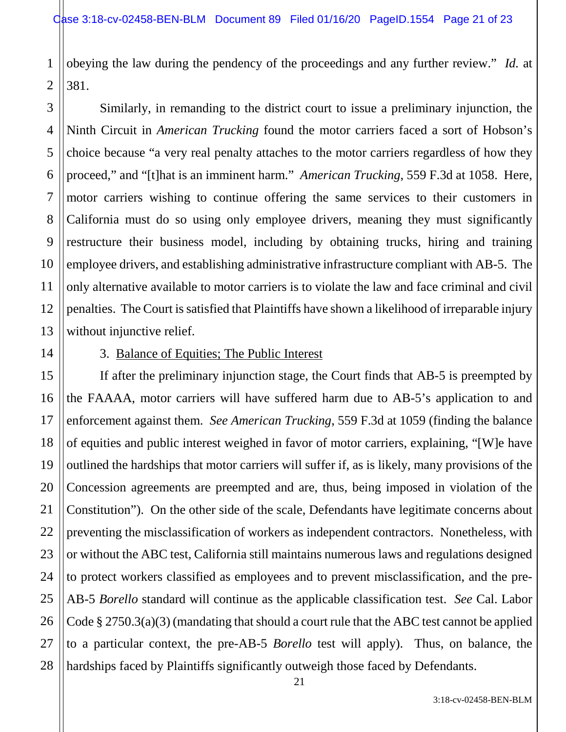1 obeying the law during the pendency of the proceedings and any further review." *Id.* at 381.

Similarly, in remanding to the district court to issue a preliminary injunction, the Ninth Circuit in *American Trucking* found the motor carriers faced a sort of Hobson's choice because "a very real penalty attaches to the motor carriers regardless of how they proceed," and "[t]hat is an imminent harm." *American Trucking*, 559 F.3d at 1058. Here, motor carriers wishing to continue offering the same services to their customers in California must do so using only employee drivers, meaning they must significantly restructure their business model, including by obtaining trucks, hiring and training employee drivers, and establishing administrative infrastructure compliant with AB-5. The only alternative available to motor carriers is to violate the law and face criminal and civil penalties. The Court is satisfied that Plaintiffs have shown a likelihood of irreparable injury without injunctive relief.

#### 3. Balance of Equities; The Public Interest

If after the preliminary injunction stage, the Court finds that AB-5 is preempted by the FAAAA, motor carriers will have suffered harm due to AB-5's application to and enforcement against them. *See American Trucking*, 559 F.3d at 1059 (finding the balance of equities and public interest weighed in favor of motor carriers, explaining, "[W]e have outlined the hardships that motor carriers will suffer if, as is likely, many provisions of the Concession agreements are preempted and are, thus, being imposed in violation of the Constitution"). On the other side of the scale, Defendants have legitimate concerns about preventing the misclassification of workers as independent contractors. Nonetheless, with or without the ABC test, California still maintains numerous laws and regulations designed to protect workers classified as employees and to prevent misclassification, and the pre-AB-5 *Borello* standard will continue as the applicable classification test. *See* Cal. Labor Code § 2750.3(a)(3) (mandating that should a court rule that the ABC test cannot be applied to a particular context, the pre-AB-5 *Borello* test will apply). Thus, on balance, the hardships faced by Plaintiffs significantly outweigh those faced by Defendants.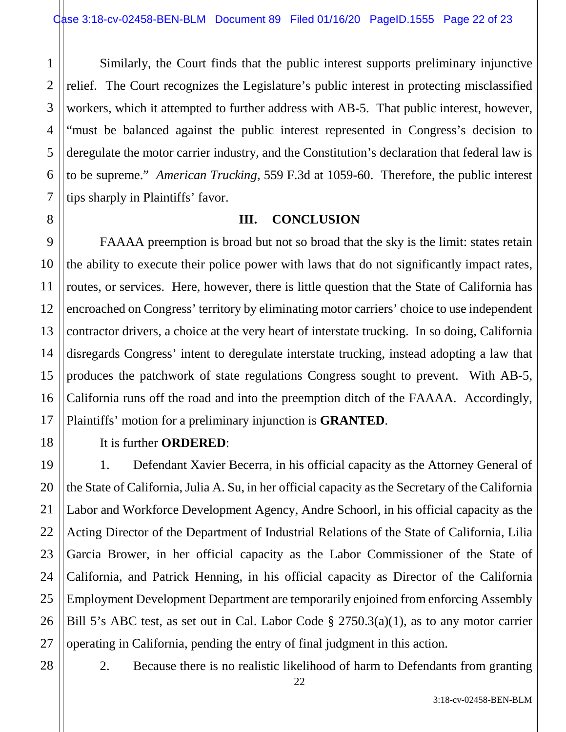Similarly, the Court finds that the public interest supports preliminary injunctive relief. The Court recognizes the Legislature's public interest in protecting misclassified workers, which it attempted to further address with AB-5. That public interest, however, "must be balanced against the public interest represented in Congress's decision to deregulate the motor carrier industry, and the Constitution's declaration that federal law is to be supreme." *American Trucking*, 559 F.3d at 1059-60. Therefore, the public interest tips sharply in Plaintiffs' favor.

### **III. CONCLUSION**

FAAAA preemption is broad but not so broad that the sky is the limit: states retain the ability to execute their police power with laws that do not significantly impact rates, routes, or services. Here, however, there is little question that the State of California has encroached on Congress' territory by eliminating motor carriers' choice to use independent contractor drivers, a choice at the very heart of interstate trucking. In so doing, California disregards Congress' intent to deregulate interstate trucking, instead adopting a law that produces the patchwork of state regulations Congress sought to prevent. With AB-5, California runs off the road and into the preemption ditch of the FAAAA. Accordingly, Plaintiffs' motion for a preliminary injunction is **GRANTED**.

1

2

3

4

5

6

7

8

9

10

11

12

13

14

15

16

17

18

19

20

21

22

23

24

25

26

27

## It is further **ORDERED**:

1. Defendant Xavier Becerra, in his official capacity as the Attorney General of the State of California, Julia A. Su, in her official capacity as the Secretary of the California Labor and Workforce Development Agency, Andre Schoorl, in his official capacity as the Acting Director of the Department of Industrial Relations of the State of California, Lilia Garcia Brower, in her official capacity as the Labor Commissioner of the State of California, and Patrick Henning, in his official capacity as Director of the California Employment Development Department are temporarily enjoined from enforcing Assembly Bill 5's ABC test, as set out in Cal. Labor Code § 2750.3(a)(1), as to any motor carrier operating in California, pending the entry of final judgment in this action.

28

2. Because there is no realistic likelihood of harm to Defendants from granting